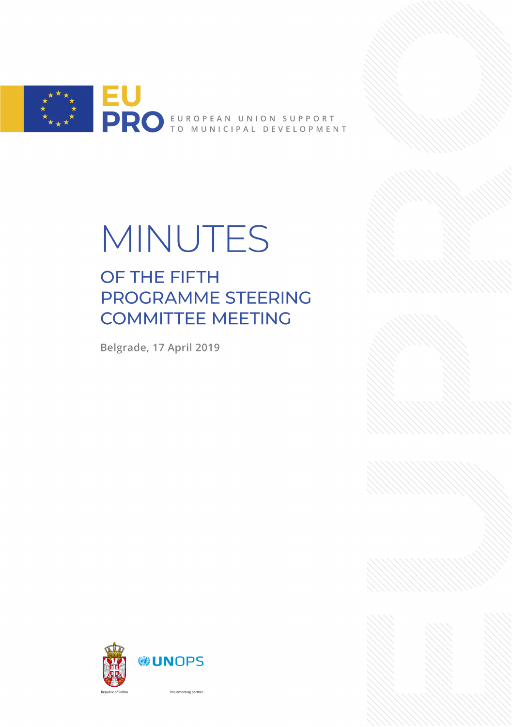

# MINUTES

## OF THE FIFTH PROGRAMME STEERING **COMMITTEE MEETING**

Belgrade, 17 April 2019



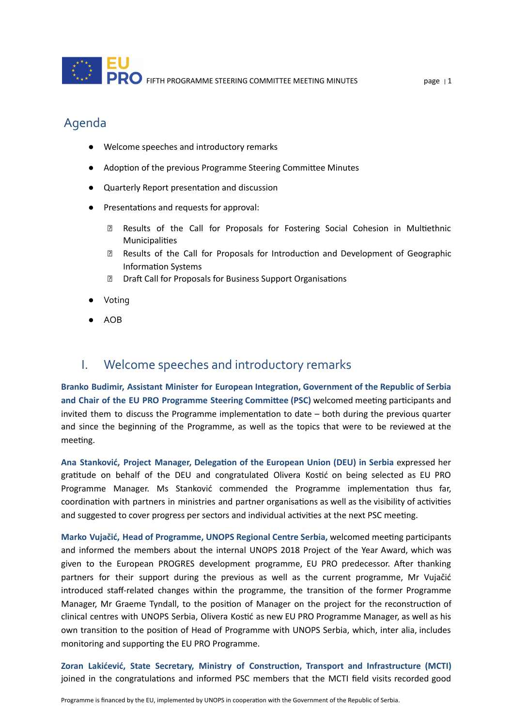#### Agenda

- Welcome speeches and introductory remarks
- Adoption of the previous Programme Steering Committee Minutes
- Quarterly Report presentation and discussion
- Presentations and requests for approval:
	- **Z** Results of the Call for Proposals for Fostering Social Cohesion in Multiethnic **Municipalities**
	- **Z** Results of the Call for Proposals for Introduction and Development of Geographic Information Systems
	- **Z** Draft Call for Proposals for Business Support Organisations
- Voting
- AOB

#### I. Welcome speeches and introductory remarks

**Branko Budimir, Assistant Minister for European Integraon, Government of the Republic of Serbia and Chair of the EU PRO Programme Steering Commiee (PSC)** welcomed meeng parcipants and invited them to discuss the Programme implementation to date  $-$  both during the previous quarter and since the beginning of the Programme, as well as the topics that were to be reviewed at the meeting.

**Ana Stanković, Project Manager, Delegaon of the European Union (DEU) in Serbia** expressed her gratitude on behalf of the DEU and congratulated Olivera Kostić on being selected as EU PRO Programme Manager. Ms Stanković commended the Programme implementation thus far, coordination with partners in ministries and partner organisations as well as the visibility of activities and suggested to cover progress per sectors and individual activities at the next PSC meeting.

**Marko Vujačić, Head of Programme, UNOPS Regional Centre Serbia,** welcomed meeng parcipants and informed the members about the internal UNOPS 2018 Project of the Year Award, which was given to the European PROGRES development programme, EU PRO predecessor. After thanking partners for their support during the previous as well as the current programme, Mr Vujačić introduced staff-related changes within the programme, the transition of the former Programme Manager, Mr Graeme Tyndall, to the position of Manager on the project for the reconstruction of clinical centres with UNOPS Serbia, Olivera Kostić as new EU PRO Programme Manager, as well as his own transition to the position of Head of Programme with UNOPS Serbia, which, inter alia, includes monitoring and supporting the EU PRO Programme.

**Zoran Lakićević, State Secretary, Ministry of Construcon, Transport and Infrastructure (MCTI)** joined in the congratulations and informed PSC members that the MCTI field visits recorded good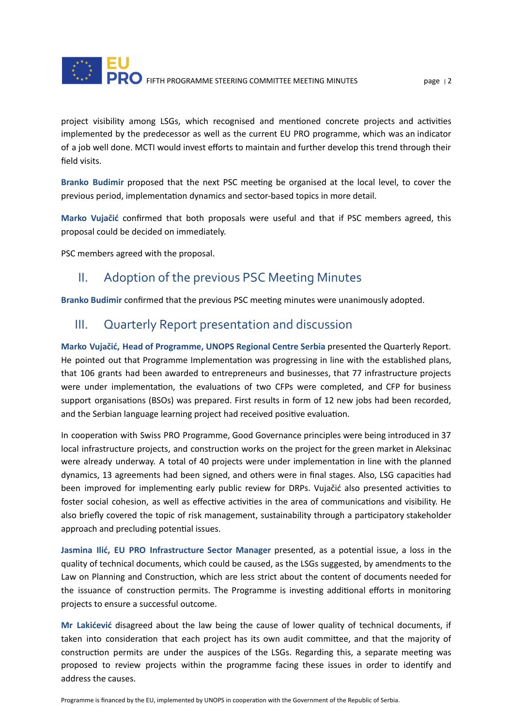

project visibility among LSGs, which recognised and mentioned concrete projects and activities implemented by the predecessor as well as the current EU PRO programme, which was an indicator of a job well done. MCTI would invest efforts to maintain and further develop this trend through their field visits.

Branko Budimir proposed that the next PSC meeting be organised at the local level, to cover the previous period, implementation dynamics and sector-based topics in more detail.

**Marko Vujačić** confirmed that both proposals were useful and that if PSC members agreed, this proposal could be decided on immediately.

PSC members agreed with the proposal.

#### II. Adoption of the previous PSC Meeting Minutes

Branko Budimir confirmed that the previous PSC meeting minutes were unanimously adopted.

#### III. Quarterly Report presentation and discussion

**Marko Vujačić, Head of Programme, UNOPS Regional Centre Serbia** presented the Quarterly Report. He pointed out that Programme Implementation was progressing in line with the established plans, that 106 grants had been awarded to entrepreneurs and businesses, that 77 infrastructure projects were under implementation, the evaluations of two CFPs were completed, and CFP for business support organisations (BSOs) was prepared. First results in form of 12 new jobs had been recorded, and the Serbian language learning project had received positive evaluation.

In cooperation with Swiss PRO Programme, Good Governance principles were being introduced in 37 local infrastructure projects, and construction works on the project for the green market in Aleksinac were already underway. A total of 40 projects were under implementation in line with the planned dynamics, 13 agreements had been signed, and others were in final stages. Also, LSG capacities had been improved for implementing early public review for DRPs. Vujačić also presented activities to foster social cohesion, as well as effective activities in the area of communications and visibility. He also briefly covered the topic of risk management, sustainability through a participatory stakeholder approach and precluding potential issues.

**Jasmina Ilić, EU PRO Infrastructure Sector Manager** presented, as a potenal issue, a loss in the quality of technical documents, which could be caused, as the LSGs suggested, by amendments to the Law on Planning and Construction, which are less strict about the content of documents needed for the issuance of construction permits. The Programme is investing additional efforts in monitoring projects to ensure a successful outcome.

**Mr Lakićević** disagreed about the law being the cause of lower quality of technical documents, if taken into consideration that each project has its own audit committee, and that the majority of construction permits are under the auspices of the LSGs. Regarding this, a separate meeting was proposed to review projects within the programme facing these issues in order to identify and address the causes.

Programme is financed by the EU, implemented by UNOPS in cooperation with the Government of the Republic of Serbia.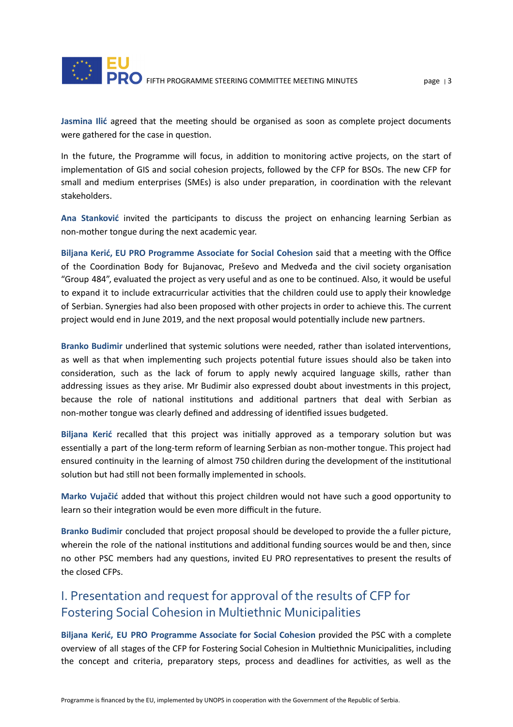

Jasmina Ilić agreed that the meeting should be organised as soon as complete project documents were gathered for the case in question.

In the future, the Programme will focus, in addition to monitoring active projects, on the start of implementation of GIS and social cohesion projects, followed by the CFP for BSOs. The new CFP for small and medium enterprises (SMEs) is also under preparation, in coordination with the relevant stakeholders.

Ana Stanković invited the participants to discuss the project on enhancing learning Serbian as non-mother tongue during the next academic year.

**Biljana Kerić, EU PRO Programme Associate for Social Cohesion** said that a meeng with the Office of the Coordination Body for Bujanovac, Preševo and Medveđa and the civil society organisation "Group 484", evaluated the project as very useful and as one to be continued. Also, it would be useful to expand it to include extracurricular activities that the children could use to apply their knowledge of Serbian. Synergies had also been proposed with other projects in order to achieve this. The current project would end in June 2019, and the next proposal would potentially include new partners.

Branko Budimir underlined that systemic solutions were needed, rather than isolated interventions, as well as that when implementing such projects potential future issues should also be taken into consideration, such as the lack of forum to apply newly acquired language skills, rather than addressing issues as they arise. Mr Budimir also expressed doubt about investments in this project, because the role of national institutions and additional partners that deal with Serbian as non-mother tongue was clearly defined and addressing of idenfied issues budgeted.

Biljana Kerić recalled that this project was initially approved as a temporary solution but was essentially a part of the long-term reform of learning Serbian as non-mother tongue. This project had ensured continuity in the learning of almost 750 children during the development of the institutional solution but had still not been formally implemented in schools.

**Marko Vujačić** added that without this project children would not have such a good opportunity to learn so their integration would be even more difficult in the future.

**Branko Budimir** concluded that project proposal should be developed to provide the a fuller picture, wherein the role of the national institutions and additional funding sources would be and then, since no other PSC members had any questions, invited EU PRO representatives to present the results of the closed CFPs.

#### I. Presentation and request for approval of the results of CFP for Fostering Social Cohesion in Multiethnic Municipalities

**Biljana Kerić, EU PRO Programme Associate for Social Cohesion** provided the PSC with a complete overview of all stages of the CFP for Fostering Social Cohesion in Multiethnic Municipalities, including the concept and criteria, preparatory steps, process and deadlines for activities, as well as the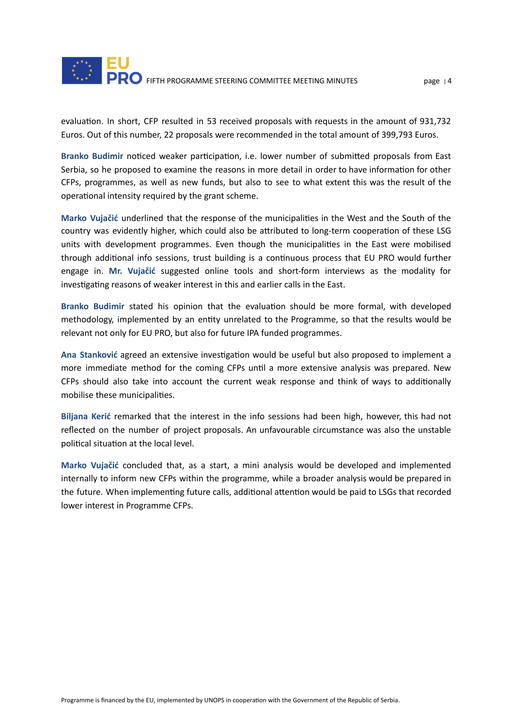evaluation. In short, CFP resulted in 53 received proposals with requests in the amount of 931,732 Euros. Out of this number, 22 proposals were recommended in the total amount of 399,793 Euros.

**Branko Budimir noticed weaker participation, i.e. lower number of submitted proposals from East** Serbia, so he proposed to examine the reasons in more detail in order to have information for other CFPs, programmes, as well as new funds, but also to see to what extent this was the result of the operational intensity required by the grant scheme.

**Marko** Vujačić underlined that the response of the municipalities in the West and the South of the country was evidently higher, which could also be attributed to long-term cooperation of these LSG units with development programmes. Even though the municipalities in the East were mobilised through additional info sessions, trust building is a continuous process that EU PRO would further engage in. **Mr. Vujačić** suggested online tools and short-form interviews as the modality for investigating reasons of weaker interest in this and earlier calls in the East.

**Branko Budimir** stated his opinion that the evaluation should be more formal, with developed methodology, implemented by an entity unrelated to the Programme, so that the results would be relevant not only for EU PRO, but also for future IPA funded programmes.

Ana Stanković agreed an extensive investigation would be useful but also proposed to implement a more immediate method for the coming CFPs until a more extensive analysis was prepared. New CFPs should also take into account the current weak response and think of ways to additionally mobilise these municipalities.

**Biljana Kerić** remarked that the interest in the info sessions had been high, however, this had not reflected on the number of project proposals. An unfavourable circumstance was also the unstable political situation at the local level.

**Marko Vujačić** concluded that, as a start, a mini analysis would be developed and implemented internally to inform new CFPs within the programme, while a broader analysis would be prepared in the future. When implementing future calls, additional attention would be paid to LSGs that recorded lower interest in Programme CFPs.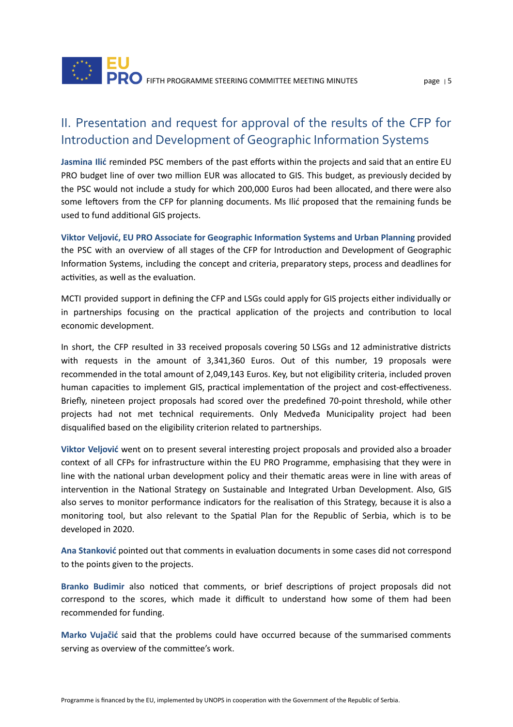## II. Presentation and request for approval of the results of the CFP for Introduction and Development of Geographic Information Systems

Jasmina Ilić reminded PSC members of the past efforts within the projects and said that an entire EU PRO budget line of over two million EUR was allocated to GIS. This budget, as previously decided by the PSC would not include a study for which 200,000 Euros had been allocated, and there were also some leftovers from the CFP for planning documents. Ms Ilić proposed that the remaining funds be used to fund additional GIS projects.

**Viktor Veljović, EU PRO Associate for Geographic Informaon Systems and Urban Planning** provided the PSC with an overview of all stages of the CFP for Introduction and Development of Geographic Information Systems, including the concept and criteria, preparatory steps, process and deadlines for activities, as well as the evaluation.

MCTI provided support in defining the CFP and LSGs could apply for GIS projects either individually or in partnerships focusing on the practical application of the projects and contribution to local economic development.

In short, the CFP resulted in 33 received proposals covering 50 LSGs and 12 administrative districts with requests in the amount of 3,341,360 Euros. Out of this number, 19 proposals were recommended in the total amount of 2,049,143 Euros. Key, but not eligibility criteria, included proven human capacities to implement GIS, practical implementation of the project and cost-effectiveness. Briefly, nineteen project proposals had scored over the predefined 70-point threshold, while other projects had not met technical requirements. Only Medveđa Municipality project had been disqualified based on the eligibility criterion related to partnerships.

Viktor Veljović went on to present several interesting project proposals and provided also a broader context of all CFPs for infrastructure within the EU PRO Programme, emphasising that they were in line with the national urban development policy and their thematic areas were in line with areas of intervention in the National Strategy on Sustainable and Integrated Urban Development. Also, GIS also serves to monitor performance indicators for the realisation of this Strategy, because it is also a monitoring tool, but also relevant to the Spatial Plan for the Republic of Serbia, which is to be developed in 2020.

Ana Stanković pointed out that comments in evaluation documents in some cases did not correspond to the points given to the projects.

**Branko Budimir** also noticed that comments, or brief descriptions of project proposals did not correspond to the scores, which made it difficult to understand how some of them had been recommended for funding.

**Marko Vujačić** said that the problems could have occurred because of the summarised comments serving as overview of the committee's work.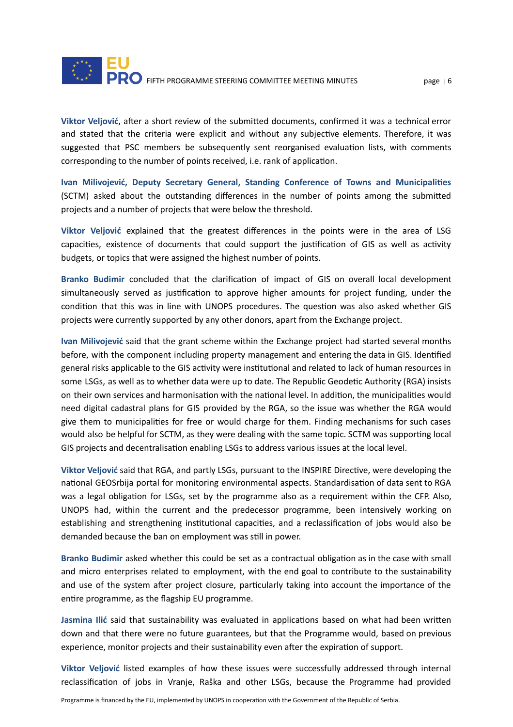

Viktor Veljović, after a short review of the submitted documents, confirmed it was a technical error and stated that the criteria were explicit and without any subjective elements. Therefore, it was suggested that PSC members be subsequently sent reorganised evaluation lists, with comments corresponding to the number of points received, i.e. rank of application.

**Ivan Milivojević, Deputy Secretary General, Standing Conference of Towns and Municipalies** (SCTM) asked about the outstanding differences in the number of points among the submitted projects and a number of projects that were below the threshold.

**Viktor Veljović** explained that the greatest differences in the points were in the area of LSG capacities, existence of documents that could support the justification of GIS as well as activity budgets, or topics that were assigned the highest number of points.

Branko Budimir concluded that the clarification of impact of GIS on overall local development simultaneously served as justification to approve higher amounts for project funding, under the condition that this was in line with UNOPS procedures. The question was also asked whether GIS projects were currently supported by any other donors, apart from the Exchange project.

**Ivan Milivojević** said that the grant scheme within the Exchange project had started several months before, with the component including property management and entering the data in GIS. Idenfied general risks applicable to the GIS activity were institutional and related to lack of human resources in some LSGs, as well as to whether data were up to date. The Republic Geodetic Authority (RGA) insists on their own services and harmonisation with the national level. In addition, the municipalities would need digital cadastral plans for GIS provided by the RGA, so the issue was whether the RGA would give them to municipalities for free or would charge for them. Finding mechanisms for such cases would also be helpful for SCTM, as they were dealing with the same topic. SCTM was supporting local GIS projects and decentralisation enabling LSGs to address various issues at the local level.

Viktor Veljović said that RGA, and partly LSGs, pursuant to the INSPIRE Directive, were developing the national GEOSrbija portal for monitoring environmental aspects. Standardisation of data sent to RGA was a legal obligation for LSGs, set by the programme also as a requirement within the CFP. Also, UNOPS had, within the current and the predecessor programme, been intensively working on establishing and strengthening institutional capacities, and a reclassification of jobs would also be demanded because the ban on employment was still in power.

Branko Budimir asked whether this could be set as a contractual obligation as in the case with small and micro enterprises related to employment, with the end goal to contribute to the sustainability and use of the system after project closure, particularly taking into account the importance of the entire programme, as the flagship EU programme.

**Jasmina Ilić** said that sustainability was evaluated in applications based on what had been written down and that there were no future guarantees, but that the Programme would, based on previous experience, monitor projects and their sustainability even after the expiration of support.

**Viktor Veljović** listed examples of how these issues were successfully addressed through internal reclassification of jobs in Vranje, Raška and other LSGs, because the Programme had provided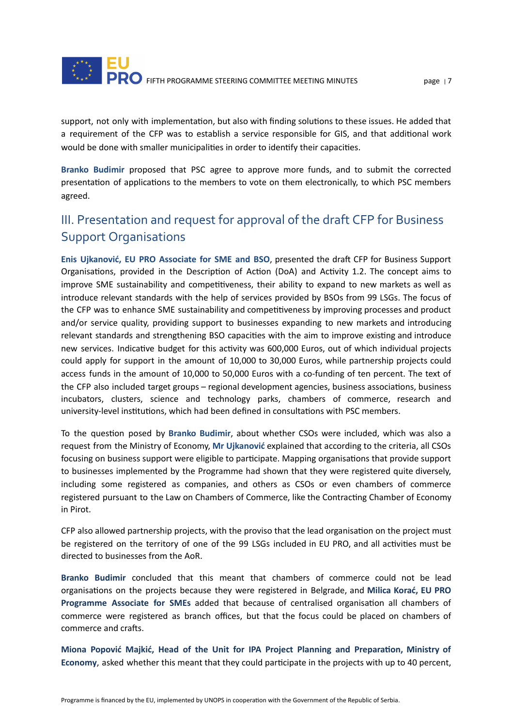

support, not only with implementation, but also with finding solutions to these issues. He added that a requirement of the CFP was to establish a service responsible for GIS, and that additional work would be done with smaller municipalities in order to identify their capacities.

**Branko Budimir** proposed that PSC agree to approve more funds, and to submit the corrected presentation of applications to the members to vote on them electronically, to which PSC members agreed.

### III. Presentation and request for approval of the draft CFP for Business Support Organisations

**Enis Ujkanović, EU PRO Associate for SME and BSO**, presented the dra CFP for Business Support Organisations, provided in the Description of Action (DoA) and Activity 1.2. The concept aims to improve SME sustainability and competitiveness, their ability to expand to new markets as well as introduce relevant standards with the help of services provided by BSOs from 99 LSGs. The focus of the CFP was to enhance SME sustainability and competitiveness by improving processes and product and/or service quality, providing support to businesses expanding to new markets and introducing relevant standards and strengthening BSO capacities with the aim to improve existing and introduce new services. Indicative budget for this activity was 600,000 Euros, out of which individual projects could apply for support in the amount of 10,000 to 30,000 Euros, while partnership projects could access funds in the amount of 10,000 to 50,000 Euros with a co-funding of ten percent. The text of the CFP also included target groups – regional development agencies, business associations, business incubators, clusters, science and technology parks, chambers of commerce, research and university-level institutions, which had been defined in consultations with PSC members.

To the question posed by Branko Budimir, about whether CSOs were included, which was also a request from the Ministry of Economy, **Mr Ujkanović** explained that according to the criteria, all CSOs focusing on business support were eligible to participate. Mapping organisations that provide support to businesses implemented by the Programme had shown that they were registered quite diversely, including some registered as companies, and others as CSOs or even chambers of commerce registered pursuant to the Law on Chambers of Commerce, like the Contracting Chamber of Economy in Pirot.

CFP also allowed partnership projects, with the proviso that the lead organisation on the project must be registered on the territory of one of the 99 LSGs included in EU PRO, and all activities must be directed to businesses from the AoR.

**Branko Budimir** concluded that this meant that chambers of commerce could not be lead organisaons on the projects because they were registered in Belgrade, and **Milica Korać, EU PRO Programme** Associate for SMEs added that because of centralised organisation all chambers of commerce were registered as branch offices, but that the focus could be placed on chambers of commerce and crafts.

**Miona Popović Majkić, Head of the Unit for IPA Project Planning and Preparaon, Ministry of** Economy, asked whether this meant that they could participate in the projects with up to 40 percent,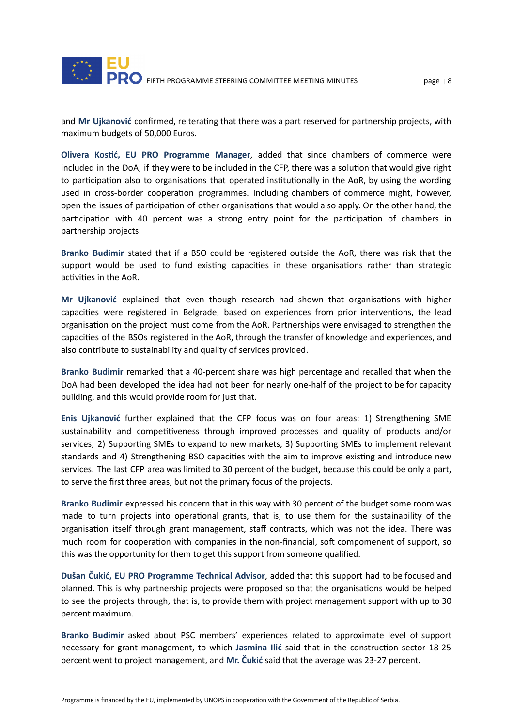

and Mr Ujkanović confirmed, reiterating that there was a part reserved for partnership projects, with maximum budgets of 50,000 Euros.

**Olivera Kosć, EU PRO Programme Manager**, added that since chambers of commerce were included in the DoA, if they were to be included in the CFP, there was a solution that would give right to participation also to organisations that operated institutionally in the AoR, by using the wording used in cross-border cooperation programmes. Including chambers of commerce might, however, open the issues of participation of other organisations that would also apply. On the other hand, the participation with 40 percent was a strong entry point for the participation of chambers in partnership projects.

**Branko Budimir** stated that if a BSO could be registered outside the AoR, there was risk that the support would be used to fund existing capacities in these organisations rather than strategic activities in the AoR.

**Mr Ujkanović** explained that even though research had shown that organisations with higher capacities were registered in Belgrade, based on experiences from prior interventions, the lead organisation on the project must come from the AoR. Partnerships were envisaged to strengthen the capacities of the BSOs registered in the AoR, through the transfer of knowledge and experiences, and also contribute to sustainability and quality of services provided.

**Branko Budimir** remarked that a 40-percent share was high percentage and recalled that when the DoA had been developed the idea had not been for nearly one-half of the project to be for capacity building, and this would provide room for just that.

**Enis Ujkanović** further explained that the CFP focus was on four areas: 1) Strengthening SME sustainability and competitiveness through improved processes and quality of products and/or services, 2) Supporting SMEs to expand to new markets, 3) Supporting SMEs to implement relevant standards and 4) Strengthening BSO capacities with the aim to improve existing and introduce new services. The last CFP area was limited to 30 percent of the budget, because this could be only a part, to serve the first three areas, but not the primary focus of the projects.

**Branko Budimir** expressed his concern that in this way with 30 percent of the budget some room was made to turn projects into operational grants, that is, to use them for the sustainability of the organisation itself through grant management, staff contracts, which was not the idea. There was much room for cooperation with companies in the non-financial, soft compomenent of support, so this was the opportunity for them to get this support from someone qualified.

**Dušan Čukić, EU PRO Programme Technical Advisor**, added that this support had to be focused and planned. This is why partnership projects were proposed so that the organisations would be helped to see the projects through, that is, to provide them with project management support with up to 30 percent maximum.

**Branko Budimir** asked about PSC members' experiences related to approximate level of support necessary for grant management, to which Jasmina Ilić said that in the construction sector 18-25 percent went to project management, and **Mr. Čukić** said that the average was 23-27 percent.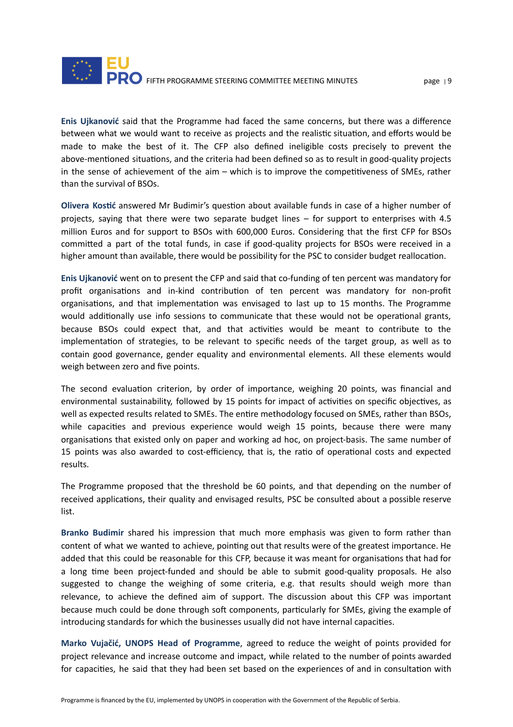

**Enis Ujkanović** said that the Programme had faced the same concerns, but there was a difference between what we would want to receive as projects and the realistic situation, and efforts would be made to make the best of it. The CFP also defined ineligible costs precisely to prevent the above-mentioned situations, and the criteria had been defined so as to result in good-quality projects in the sense of achievement of the aim  $-$  which is to improve the competitiveness of SMEs, rather than the survival of BSOs.

**Olivera Kostić** answered Mr Budimir's question about available funds in case of a higher number of projects, saying that there were two separate budget lines – for support to enterprises with 4.5 million Euros and for support to BSOs with 600,000 Euros. Considering that the first CFP for BSOs committed a part of the total funds, in case if good-quality projects for BSOs were received in a higher amount than available, there would be possibility for the PSC to consider budget reallocation.

**Enis Ujkanović** went on to present the CFP and said that co-funding of ten percent was mandatory for profit organisations and in-kind contribution of ten percent was mandatory for non-profit organisations, and that implementation was envisaged to last up to 15 months. The Programme would additionally use info sessions to communicate that these would not be operational grants, because BSOs could expect that, and that activities would be meant to contribute to the implementation of strategies, to be relevant to specific needs of the target group, as well as to contain good governance, gender equality and environmental elements. All these elements would weigh between zero and five points.

The second evaluation criterion, by order of importance, weighing 20 points, was financial and environmental sustainability, followed by 15 points for impact of activities on specific objectives, as well as expected results related to SMEs. The entire methodology focused on SMEs, rather than BSOs, while capacities and previous experience would weigh 15 points, because there were many organisations that existed only on paper and working ad hoc, on project-basis. The same number of 15 points was also awarded to cost-efficiency, that is, the ratio of operational costs and expected results.

The Programme proposed that the threshold be 60 points, and that depending on the number of received applications, their quality and envisaged results, PSC be consulted about a possible reserve list.

**Branko Budimir** shared his impression that much more emphasis was given to form rather than content of what we wanted to achieve, pointing out that results were of the greatest importance. He added that this could be reasonable for this CFP, because it was meant for organisations that had for a long time been project-funded and should be able to submit good-quality proposals. He also suggested to change the weighing of some criteria, e.g. that results should weigh more than relevance, to achieve the defined aim of support. The discussion about this CFP was important because much could be done through soft components, particularly for SMEs, giving the example of introducing standards for which the businesses usually did not have internal capacities.

**Marko Vujačić, UNOPS Head of Programme**, agreed to reduce the weight of points provided for project relevance and increase outcome and impact, while related to the number of points awarded for capacities, he said that they had been set based on the experiences of and in consultation with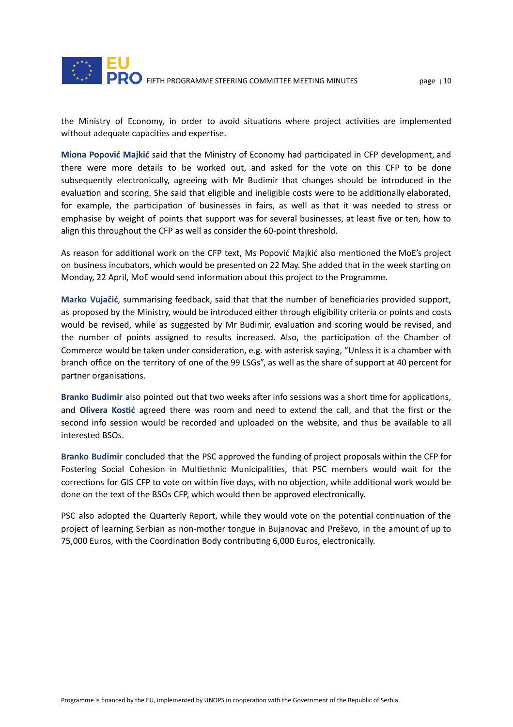

the Ministry of Economy, in order to avoid situations where project activities are implemented without adequate capacities and expertise.

**Miona Popović Majkić** said that the Ministry of Economy had parcipated in CFP development, and there were more details to be worked out, and asked for the vote on this CFP to be done subsequently electronically, agreeing with Mr Budimir that changes should be introduced in the evaluation and scoring. She said that eligible and ineligible costs were to be additionally elaborated, for example, the participation of businesses in fairs, as well as that it was needed to stress or emphasise by weight of points that support was for several businesses, at least five or ten, how to align this throughout the CFP as well as consider the 60-point threshold.

As reason for additional work on the CFP text, Ms Popović Majkić also mentioned the MoE's project on business incubators, which would be presented on 22 May. She added that in the week starting on Monday, 22 April, MoE would send information about this project to the Programme.

**Marko Vujačić**, summarising feedback, said that that the number of beneficiaries provided support, as proposed by the Ministry, would be introduced either through eligibility criteria or points and costs would be revised, while as suggested by Mr Budimir, evaluation and scoring would be revised, and the number of points assigned to results increased. Also, the participation of the Chamber of Commerce would be taken under consideration, e.g. with asterisk saying, "Unless it is a chamber with branch office on the territory of one of the 99 LSGs", as well as the share of support at 40 percent for partner organisations.

Branko Budimir also pointed out that two weeks after info sessions was a short time for applications, and **Olivera Kosć** agreed there was room and need to extend the call, and that the first or the second info session would be recorded and uploaded on the website, and thus be available to all interested BSOs.

**Branko Budimir** concluded that the PSC approved the funding of project proposals within the CFP for Fostering Social Cohesion in Multiethnic Municipalities, that PSC members would wait for the corrections for GIS CFP to vote on within five days, with no objection, while additional work would be done on the text of the BSOs CFP, which would then be approved electronically.

PSC also adopted the Quarterly Report, while they would vote on the potential continuation of the project of learning Serbian as non-mother tongue in Bujanovac and Preševo, in the amount of up to 75,000 Euros, with the Coordination Body contributing 6,000 Euros, electronically.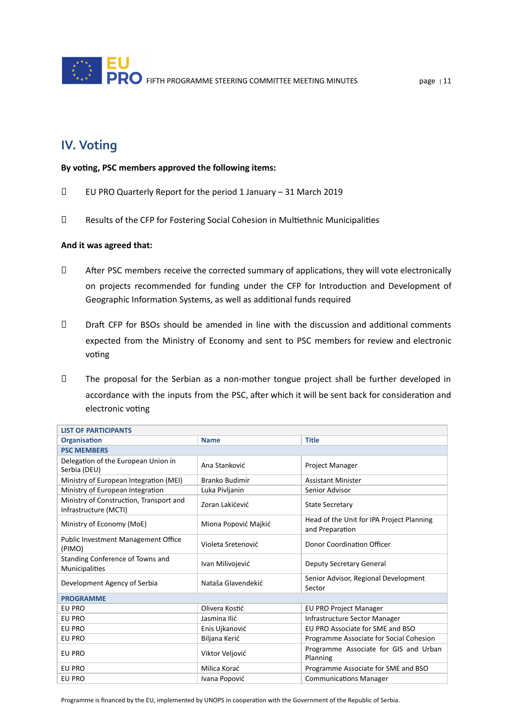### **IV. Voting**

#### **By vong, PSC members approved the following items:**

- EU PRO Quarterly Report for the period 1 January 31 March 2019
- D Results of the CFP for Fostering Social Cohesion in Multiethnic Municipalities

#### **And it was agreed that:**

- $\Box$  After PSC members receive the corrected summary of applications, they will vote electronically on projects recommended for funding under the CFP for Introduction and Development of Geographic Information Systems, as well as additional funds required
- $\Box$  Draft CFP for BSOs should be amended in line with the discussion and additional comments expected from the Ministry of Economy and sent to PSC members for review and electronic voting
- The proposal for the Serbian as a non-mother tongue project shall be further developed in accordance with the inputs from the PSC, after which it will be sent back for consideration and electronic voting

| <b>LIST OF PARTICIPANTS</b>                                      |                       |                                                              |  |  |
|------------------------------------------------------------------|-----------------------|--------------------------------------------------------------|--|--|
| <b>Organisation</b>                                              | <b>Name</b>           | <b>Title</b>                                                 |  |  |
| <b>PSC MEMBERS</b>                                               |                       |                                                              |  |  |
| Delegation of the European Union in<br>Serbia (DEU)              | Ana Stanković         | Project Manager                                              |  |  |
| Ministry of European Integration (MEI)                           | <b>Branko Budimir</b> | <b>Assistant Minister</b>                                    |  |  |
| Ministry of European Integration                                 | Luka Pivljanin        | Senior Advisor                                               |  |  |
| Ministry of Construction, Transport and<br>Infrastructure (MCTI) | Zoran Lakićević       | <b>State Secretary</b>                                       |  |  |
| Ministry of Economy (MoE)                                        | Miona Popović Majkić  | Head of the Unit for IPA Project Planning<br>and Preparation |  |  |
| Public Investment Management Office<br>(PIMO)                    | Violeta Sretenović    | Donor Coordination Officer                                   |  |  |
| Standing Conference of Towns and<br><b>Municipalities</b>        | Ivan Milivojević      | <b>Deputy Secretary General</b>                              |  |  |
| Development Agency of Serbia                                     | Nataša Glavendekić    | Senior Advisor, Regional Development<br>Sector               |  |  |
| <b>PROGRAMME</b>                                                 |                       |                                                              |  |  |
| EU PRO                                                           | Olivera Kostić        | <b>EU PRO Project Manager</b>                                |  |  |
| EU PRO                                                           | Jasmina Ilić          | Infrastructure Sector Manager                                |  |  |
| EU PRO                                                           | Enis Ujkanović        | EU PRO Associate for SME and BSO                             |  |  |
| EU PRO                                                           | Biljana Kerić         | Programme Associate for Social Cohesion                      |  |  |
| EU PRO                                                           | Viktor Veljović       | Programme Associate for GIS and Urban<br>Planning            |  |  |
| EU PRO                                                           | Milica Korać          | Programme Associate for SME and BSO                          |  |  |
| EU PRO                                                           | Ivana Popović         | <b>Communications Manager</b>                                |  |  |

Programme is financed by the EU, implemented by UNOPS in cooperation with the Government of the Republic of Serbia.